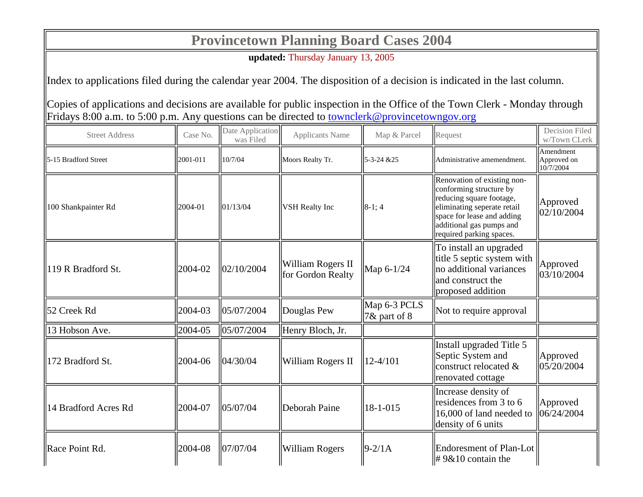## **Provincetown Planning Board Cases 2004**

**updated:** Thursday January 13, 2005

Index to applications filed during the calendar year 2004. The disposition of a decision is indicated in the last column.

Copies of applications and decisions are available for public inspection in the Office of the Town Clerk - Monday through Fridays 8:00 a.m. to 5:00 p.m. Any questions can be directed to townclerk@provincetowngov.org

| <b>Street Address</b> | Case No. | Date Application<br>was Filed | <b>Applicants Name</b>                 | Map & Parcel                                | Request                                                                                                                                                                                                 | Decision Filed<br>w/Town CLerk        |
|-----------------------|----------|-------------------------------|----------------------------------------|---------------------------------------------|---------------------------------------------------------------------------------------------------------------------------------------------------------------------------------------------------------|---------------------------------------|
| 5-15 Bradford Street  | 2001-011 | 10/7/04                       | Moors Realty Tr.                       | $15 - 3 - 24 & 25$                          | Administrative amemendment.                                                                                                                                                                             | Amendment<br>Approved on<br>10/7/2004 |
| 100 Shankpainter Rd   | 2004-01  | 01/13/04                      | <b>VSH</b> Realty Inc                  | $  8-1; 4$                                  | Renovation of existing non-<br>conforming structure by<br>reducing square footage,<br>eliminating seperate retail<br>space for lease and adding<br>additional gas pumps and<br>required parking spaces. | Approved<br>02/10/2004                |
| 119 R Bradford St.    | 2004-02  | 02/10/2004                    | William Rogers II<br>for Gordon Realty | $\text{Map } 6-1/24$                        | To install an upgraded<br>title 5 septic system with<br>no additional variances<br>and construct the<br>proposed addition                                                                               | Approved<br>03/10/2004                |
| 52 Creek Rd           | 2004-03  | 05/07/2004                    | Douglas Pew                            | $\parallel$ Map 6-3 PCLS<br>$7\&$ part of 8 | Not to require approval                                                                                                                                                                                 |                                       |
| 13 Hobson Ave.        | 2004-05  | 105/07/2004                   | Henry Bloch, Jr.                       |                                             |                                                                                                                                                                                                         |                                       |
| 172 Bradford St.      | 2004-06  | 104/30/04                     | William Rogers II                      | $\parallel$ 12-4/101                        | Install upgraded Title 5<br>Septic System and<br>construct relocated &<br>renovated cottage                                                                                                             | Approved<br>05/20/2004                |
| 14 Bradford Acres Rd  | 2004-07  | 05/07/04                      | Deborah Paine                          | 18-1-015                                    | Increase density of<br>residences from 3 to 6<br>16,000 of land needed to<br>density of 6 units                                                                                                         | Approved<br>06/24/2004                |
| Race Point Rd.        | 2004-08  | 07/07/04                      | <b>William Rogers</b>                  | $ 9-2/1A$                                   | Endoresment of Plan-Lot<br>$\# 9&10$ contain the                                                                                                                                                        |                                       |